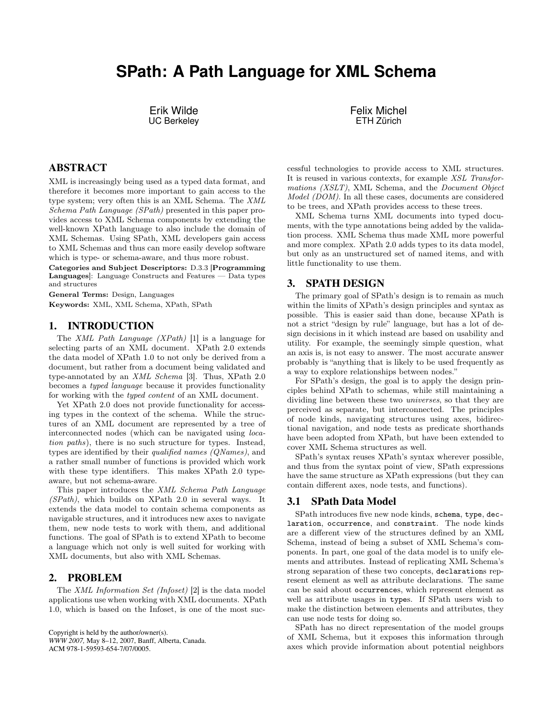# <span id="page-0-0"></span>**SPath: A Path Language for XML Schema**

Erik Wilde UC Berkeley

# ABSTRACT

XML is increasingly being used as a typed data format, and therefore it becomes more important to gain access to the type system; very often this is an XML Schema. The XML Schema Path Language (SPath) presented in this paper provides access to XML Schema components by extending the well-known XPath language to also include the domain of XML Schemas. Using SPath, XML developers gain access to XML Schemas and thus can more easily develop software which is type- or schema-aware, and thus more robust.

Categories and Subject Descriptors: D.3.3 [Programming Languages]: Language Constructs and Features — Data types and structures

General Terms: Design, Languages

Keywords: XML, XML Schema, XPath, SPath

# 1. INTRODUCTION

The XML Path Language (XPath) [1] is a language for selecting parts of an XML document. XPath 2.0 extends the data model of XPath 1.0 to not only be derived from a document, but rather from a document being validated and type-annotated by an XML Schema [3]. Thus, XPath 2.0 becomes a typed language because it provides functionality for working with the typed content of an XML document.

Yet XPath 2.0 does not provide functionality for accessing types in the context of the schema. While the structures of an XML document are represented by a tree of interconnected nodes (which can be navigated using location paths), there is no such structure for types. Instead, types are identified by their qualified names (QNames), and a rather small number of functions is provided which work with these type identifiers. This makes XPath 2.0 typeaware, but not schema-aware.

This paper introduces the XML Schema Path Language (SPath), which builds on XPath 2.0 in several ways. It extends the data model to contain schema components as navigable structures, and it introduces new axes to navigate them, new node tests to work with them, and additional functions. The goal of SPath is to extend XPath to become a language which not only is well suited for working with XML documents, but also with XML Schemas.

# 2. PROBLEM

The XML Information Set (Infoset) [2] is the data model applications use when working with XML documents. XPath 1.0, which is based on the Infoset, is one of the most suc-

Copyright is held by the author/owner(s). *WWW 2007,* May 8–12, 2007, Banff, Alberta, Canada. ACM 978-1-59593-654-7/07/0005.

cessful technologies to provide access to XML structures. It is reused in various contexts, for example XSL Transformations (XSLT), XML Schema, and the Document Object Model (DOM). In all these cases, documents are considered to be trees, and XPath provides access to these trees.

XML Schema turns XML documents into typed documents, with the type annotations being added by the validation process. XML Schema thus made XML more powerful and more complex. XPath 2.0 adds types to its data model, but only as an unstructured set of named items, and with little functionality to use them.

# 3. SPATH DESIGN

The primary goal of SPath's design is to remain as much within the limits of XPath's design principles and syntax as possible. This is easier said than done, because XPath is not a strict "design by rule" language, but has a lot of design decisions in it which instead are based on usability and utility. For example, the seemingly simple question, what an axis is, is not easy to answer. The most accurate answer probably is "anything that is likely to be used frequently as a way to explore relationships between nodes."

For SPath's design, the goal is to apply the design principles behind XPath to schemas, while still maintaining a dividing line between these two universes, so that they are perceived as separate, but interconnected. The principles of node kinds, navigating structures using axes, bidirectional navigation, and node tests as predicate shorthands have been adopted from XPath, but have been extended to cover XML Schema structures as well.

SPath's syntax reuses XPath's syntax wherever possible, and thus from the syntax point of view, SPath expressions have the same structure as XPath expressions (but they can contain different axes, node tests, and functions).

## 3.1 SPath Data Model

SPath introduces five new node kinds, schema, type, declaration, occurrence, and constraint. The node kinds are a different view of the structures defined by an XML Schema, instead of being a subset of XML Schema's components. In part, one goal of the data model is to unify elements and attributes. Instead of replicating XML Schema's strong separation of these two concepts, declarations represent element as well as attribute declarations. The same can be said about occurrences, which represent element as well as attribute usages in types. If SPath users wish to make the distinction between elements and attributes, they can use node tests for doing so.

SPath has no direct representation of the model groups of XML Schema, but it exposes this information through axes which provide information about potential neighbors

Felix Michel ETH Zürich